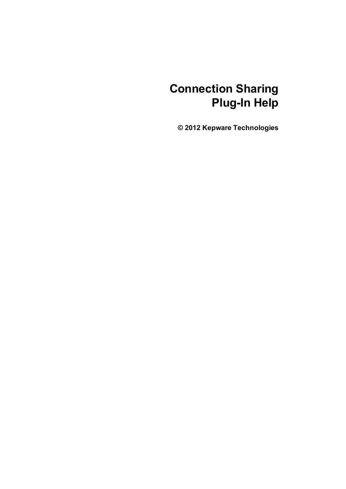# **Connection Sharing Plug-In Help**

**© 2012 Kepware Technologies**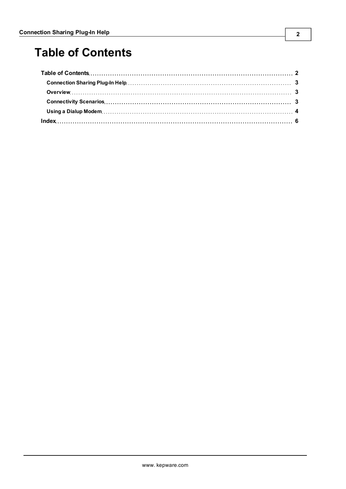# <span id="page-1-0"></span>**Table of Contents**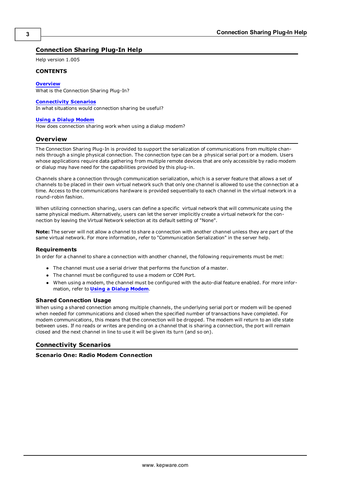## <span id="page-2-0"></span>**Connection Sharing Plug-In Help**

Help version 1.005

## **CONTENTS**

### <span id="page-2-6"></span>**[Overview](#page-2-1)**

What is the Connection Sharing Plug-In?

#### **[Connectivity](#page-2-2) [Scenarios](#page-2-2)**

<span id="page-2-5"></span>In what situations would connection sharing be useful?

#### **[Using](#page-3-0) [a](#page-3-0) [Dialup](#page-3-0) [Modem](#page-3-0)**

<span id="page-2-1"></span>How does connection sharing work when using a dialup modem?

## <span id="page-2-7"></span>**Overview**

The Connection Sharing Plug-In is provided to support the serialization of communications from multiple channels through a single physical connection. The connection type can be a physical serial port or a modem. Users whose applications require data gathering from multiple remote devices that are only accessible by radio modem or dialup may have need for the capabilities provided by this plug-in.

<span id="page-2-4"></span>Channels share a connection through communication serialization, which is a server feature that allows a set of channels to be placed in their own virtual network such that only one channel is allowed to use the connection at a time. Access to the communications hardware is provided sequentially to each channel in the virtual network in a round-robin fashion.

<span id="page-2-10"></span>When utilizing connection sharing, users can define a specific virtual network that will communicate using the same physical medium. Alternatively, users can let the server implicitly create a virtual network for the connection by leaving the Virtual Network selection at its default setting of "None".

**Note:** The server will not allow a channel to share a connection with another channel unless they are part of the same virtual network. For more information, refer to "Communication Serialization" in the server help.

## <span id="page-2-8"></span>**Requirements**

In order for a channel to share a connection with another channel, the following requirements must be met:

- The channel must use a serial driver that performs the function of a master.
- <span id="page-2-3"></span>• The channel must be configured to use a modem or COM Port.
- When using a modem, the channel must be configured with the auto-dial feature enabled. For more information, refer to **[Using](#page-3-0) [a](#page-3-0) [Dialup](#page-3-0) [Modem](#page-3-0)**.

## <span id="page-2-9"></span>**Shared Connection Usage**

When using a shared connection among multiple channels, the underlying serial port or modem will be opened when needed for communications and closed when the specified number of transactions have completed. For modem communications, this means that the connection will be dropped. The modem will return to an idle state between uses. If no reads or writes are pending on a channel that is sharing a connection, the port will remain closed and the next channel in line to use it will be given its turn (and so on).

## <span id="page-2-2"></span>**Connectivity Scenarios**

## **Scenario One: Radio Modem Connection**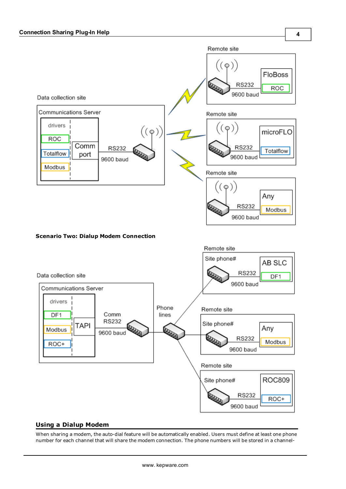



## <span id="page-3-0"></span>**Using a Dialup Modem**

When sharing a modem, the auto-dial feature will be automatically enabled. Users must define at least one phone number for each channel that will share the modem connection. The phone numbers will be stored in a channel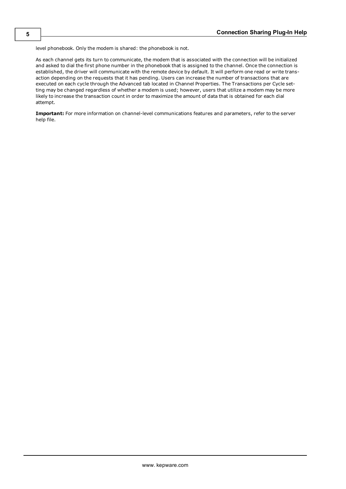<span id="page-4-1"></span><span id="page-4-0"></span>level phonebook. Only the modem is shared: the phonebook is not.

As each channel gets its turn to communicate, the modem that is associated with the connection will be initialized and asked to dial the first phone number in the phonebook that is assigned to the channel. Once the connection is established, the driver will communicate with the remote device by default. It will perform one read or write transaction depending on the requests that it has pending. Users can increase the number of transactions that are executed on each cycle through the Advanced tab located in Channel Properties. The Transactions per Cycle setting may be changed regardless of whether a modem is used; however, users that utilize a modem may be more likely to increase the transaction count in order to maximize the amount of data that is obtained for each dial attempt.

**Important:** For more information on channel-level communications features and parameters, refer to the server help file.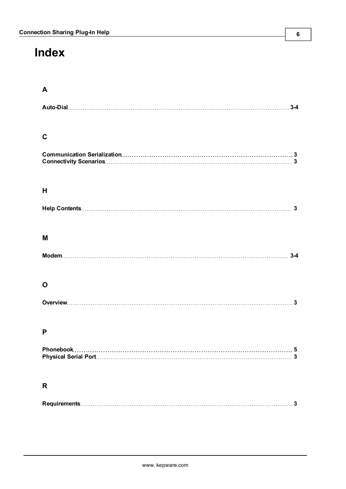# <span id="page-5-0"></span>**Index**

## **A**

# **C**

## **H**

# **M**

| Moden |  |
|-------|--|
|-------|--|

# **O**

## **P**

# **R**